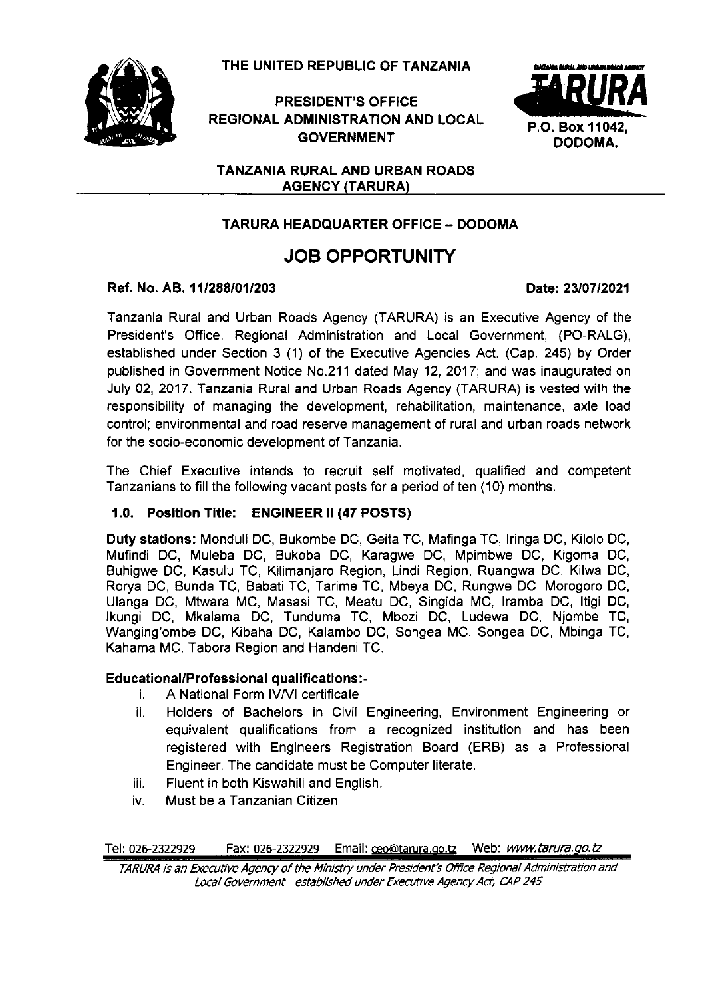THE UNITED REPUBLIC OF TANZANIA



PRESIDENT'S OFFICE **REGIONAL ADMINISTRATION AND LOCAL** GOVERNMENT



#### TANZANIA RURAL AND URBAN ROADS **AGENCY (TARURA)**

# TARURA HEADQUARTER OFFICE - DODOMA

# JOB OPPORTUNITY

### Ref. No. AB.11/288/01/203 Date: 23/07/2021

Tanzania Rural and Urban Roads Agency (TARURA) is an Executive Agency of the President's Office, Regional Administration and Local Government, (PO-RALG), established under Section 3 (1) of the Executive Agencies Act. (Cap. 245) by Order published in Government Notice No.211 dated May 12, 2017; and was inaugurated on July 02, 2017. Tanzania Rural and Urban Roads Agency (TARURA) is vested with the responsibjlity of managing the development, rehabilitation, maintenance, axle load control; environmental and road reserve management of rural and urban roads network for the socio-economic development of Tanzania.

The Chief Executive intends to recruit self motivated, qualified and competent Tanzanians to fill the following vacant posts for a period of ten (10) months.

# 1.0. Position Title: ENGINEER II (47 POSTS)

Duty stations: Monduli DC, Bukombe DC, Geita TC, Mafinga TC, lringa DC, Kilolo Mufindi DC, Muleba DC, Bukoba DC, Karagwe DC, Mpimbwe DC, Kigoma Buhigwe DC, Kasulu TC, Kilimanjaro Region, Lindi Region, Ruangwa DC, Kilwa Rorya DC, Bunda TC, Babati TC, Tarime TC, Mbeya DC, Rungwe DC, Morogoro Ulanga DC, Mtwara MC, Masasi TC, Meatu DC, Singida MC, lramba DC, Itigi lkungi DC, Mkalama DC, Tunduma TC, Mbozi DC, Ludewa DC, Njombe Wanging'ombe DC, Kibaha DC, Kalambo DC, Songea MC, Songea DC, Mbinga Kahama MC, Tabora Region and Handeni TC.

# Educational/Professional qualifications :-

- $I.$  A National Form IV/VI certificate
- ii. Holders of Bachelors in Civil Engineering, Environment Engineering or equivalent qualifications from a recognized institution and has been registered with Engineers Registration Board (ERB) as a Professional Engineer. The candidate must be Computer literate
- iii. Fluent in both Kiswahili and English.
- iv. Must be a Tanzanian citizen

Tel: 026-2322929 Fax: 026-2322929 Email: ceo@tarura.go.tz Web: www.tarura.go.tz

TARURA is an Executive Agency of the Ministry under President's Office Regional Administration and Local Government established under Executive Agency Act, CAP 245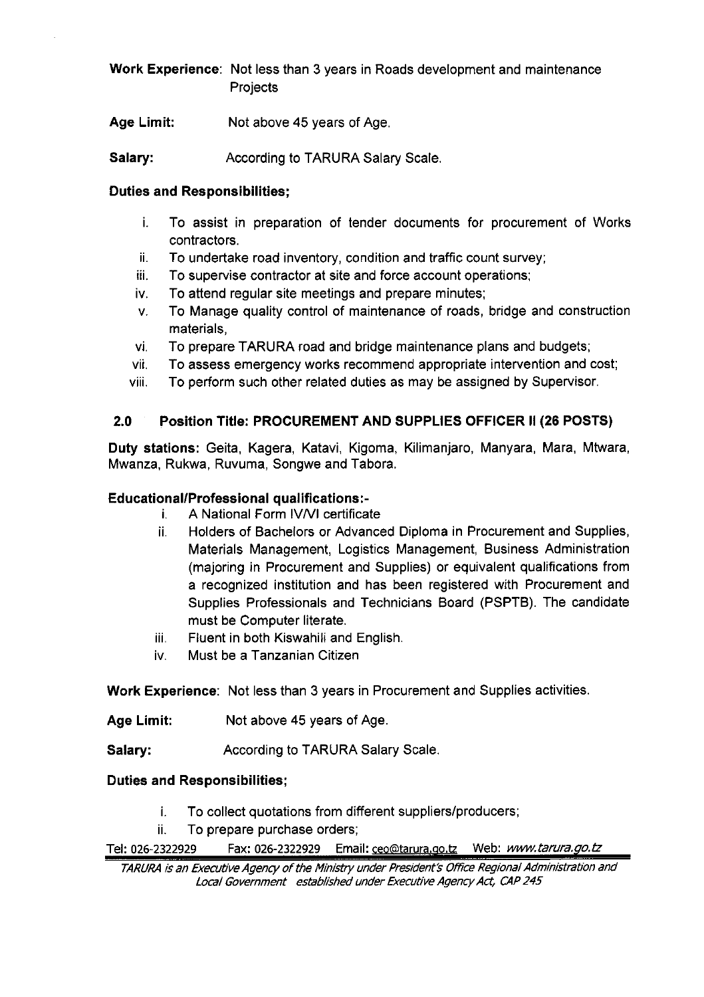Work Experience: Not less than 3 years in Roads development and maintenance Projects

Age Limit: Not above 45 years of Age.

**Salary:** According to TARURA Salary Scale.

### Duties and Responsibilities;

- i. To assist in preparation of tender documents for procurement of Works contractors.
- ii. To undertake road inventory, condition and traffic count survey;
- iii. To supervise contractor at site and force account operations;
- iv. To attend regular site meetings and prepare minutes:
- v. To Manage quality control of maintenance of roads, bridge and construction materials,
- vi. To prepare TARURA road and bridge maintenance plans and budgets;
- vii. To assess emergency works recommend appropriate intervention and cost;
- viii. To perform such other related duties as may be assigned by supervisor.

# 2.0 Position Title: PROCUREMENT AND SUPPLIES OFFICER ll (26 POSTS)

Duty stations: Geita, Kagera, Katavi, Kigoma, Kilimanjaro, Manyara, Mara, Mtwara, Mwanza, Rukwa, Ruvuma, Songwe and Tabora.

# Educational/Professional qualifications :-

- i. A National Form IV/VI certificate
- ii. Holders of Bachelors or Advanced Diploma in Procurement and Supplies, Materials Management, Logistics Management, Business Administration (majoring in Procurement and Supplies) or equivalent qualifications from a recognized institution and has been registered with Procurement and Supplies Professionals and Technicians Board (PSPTB). The candidate must be Computer literate.
- iii. Fluent in both Kiswahili and English.
- iv. Must be a Tanzanian citizen

Work Experience: Not less than 3 years in Procurement and Supplies activities.

Age Limit: Not above 45 years of Age.

**Salary:** According to TARURA Salary Scale.

### Duties and Responsibilities;

- i. To collect quotations from different suppliers/producers;
- ii. To prepare purchase orders;

Tel: 026-2322929 Fax: 026-2322929 Email: ceo@tarura.go.tz Web: www.tarura.go.tz

TARURA is an Executive Agency of the Ministry under President's Office Regional Administration and Local Government established under Executive Ageney Act, CAP 245